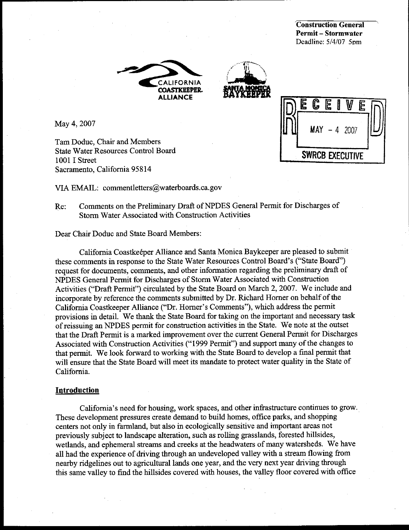**Construction General Permit – Stormwater** Deadline: 5/4/07 5pm





C E E **MAY**  $-4,2007$ **SWRCB EXECUTIVE** 

May 4, 2007

Tam Doduc, Chair and Members **State Water Resources Control Board** 1001 I Street Sacramento, California 95814

VIA EMAIL: commentletters@waterboards.ca.gov

Re: Comments on the Preliminary Draft of NPDES General Permit for Discharges of **Storm Water Associated with Construction Activities** 

Dear Chair Doduc and State Board Members:

California Coastkeeper Alliance and Santa Monica Baykeeper are pleased to submit these comments in response to the State Water Resources Control Board's ("State Board") request for documents, comments, and other information regarding the preliminary draft of NPDES General Permit for Discharges of Storm Water Associated with Construction Activities ("Draft Permit") circulated by the State Board on March 2, 2007. We include and incorporate by reference the comments submitted by Dr. Richard Horner on behalf of the California Coastkeeper Alliance ("Dr. Horner's Comments"), which address the permit provisions in detail. We thank the State Board for taking on the important and necessary task of reissuing an NPDES permit for construction activities in the State. We note at the outset that the Draft Permit is a marked improvement over the current General Permit for Discharges Associated with Construction Activities ("1999 Permit") and support many of the changes to that permit. We look forward to working with the State Board to develop a final permit that will ensure that the State Board will meet its mandate to protect water quality in the State of California.

#### Introduction

California's need for housing, work spaces, and other infrastructure continues to grow. These development pressures create demand to build homes, office parks, and shopping centers not only in farmland, but also in ecologically sensitive and important areas not previously subject to landscape alteration, such as rolling grasslands, forested hillsides, wetlands, and ephemeral streams and creeks at the headwaters of many watersheds. We have all had the experience of driving through an undeveloped valley with a stream flowing from nearby ridgelines out to agricultural lands one year, and the very next year driving through this same valley to find the hillsides covered with houses, the valley floor covered with office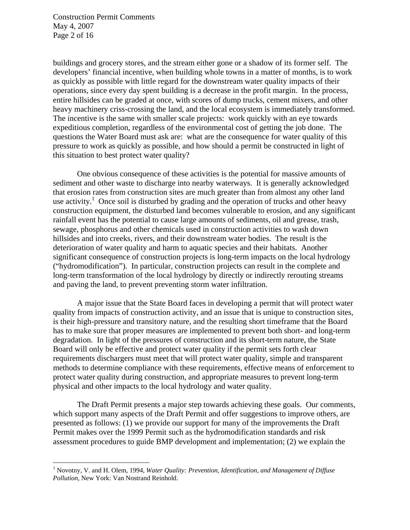Construction Permit Comments May 4, 2007 Page 2 of 16

 $\overline{a}$ 

buildings and grocery stores, and the stream either gone or a shadow of its former self. The developers' financial incentive, when building whole towns in a matter of months, is to work as quickly as possible with little regard for the downstream water quality impacts of their operations, since every day spent building is a decrease in the profit margin. In the process, entire hillsides can be graded at once, with scores of dump trucks, cement mixers, and other heavy machinery criss-crossing the land, and the local ecosystem is immediately transformed. The incentive is the same with smaller scale projects: work quickly with an eye towards expeditious completion, regardless of the environmental cost of getting the job done. The questions the Water Board must ask are: what are the consequence for water quality of this pressure to work as quickly as possible, and how should a permit be constructed in light of this situation to best protect water quality?

One obvious consequence of these activities is the potential for massive amounts of sediment and other waste to discharge into nearby waterways. It is generally acknowledged that erosion rates from construction sites are much greater than from almost any other land use activity.<sup>1</sup> Once soil is disturbed by grading and the operation of trucks and other heavy construction equipment, the disturbed land becomes vulnerable to erosion, and any significant rainfall event has the potential to cause large amounts of sediments, oil and grease, trash, sewage, phosphorus and other chemicals used in construction activities to wash down hillsides and into creeks, rivers, and their downstream water bodies. The result is the deterioration of water quality and harm to aquatic species and their habitats. Another significant consequence of construction projects is long-term impacts on the local hydrology ("hydromodification"). In particular, construction projects can result in the complete and long-term transformation of the local hydrology by directly or indirectly rerouting streams and paving the land, to prevent preventing storm water infiltration.

A major issue that the State Board faces in developing a permit that will protect water quality from impacts of construction activity, and an issue that is unique to construction sites, is their high-pressure and transitory nature, and the resulting short timeframe that the Board has to make sure that proper measures are implemented to prevent both short- and long-term degradation. In light of the pressures of construction and its short-term nature, the State Board will only be effective and protect water quality if the permit sets forth clear requirements dischargers must meet that will protect water quality, simple and transparent methods to determine compliance with these requirements, effective means of enforcement to protect water quality during construction, and appropriate measures to prevent long-term physical and other impacts to the local hydrology and water quality.

The Draft Permit presents a major step towards achieving these goals. Our comments, which support many aspects of the Draft Permit and offer suggestions to improve others, are presented as follows: (1) we provide our support for many of the improvements the Draft Permit makes over the 1999 Permit such as the hydromodification standards and risk assessment procedures to guide BMP development and implementation; (2) we explain the

<sup>&</sup>lt;sup>1</sup> Novotny, V. and H. Olem, 1994, *Water Quality: Prevention, Identification, and Management of Diffuse Pollution*, New York: Van Nostrand Reinhold.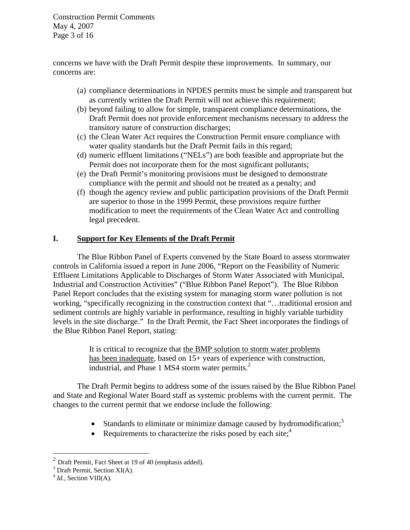Construction Permit Comments May 4, 2007 Page 3 of 16

concerns we have with the Draft Permit despite these improvements. In summary, our concerns are:

- (a) compliance determinations in NPDES permits must be simple and transparent but as currently written the Draft Permit will not achieve this requirement;
- (b) beyond failing to allow for simple, transparent compliance determinations, the Draft Permit does not provide enforcement mechanisms necessary to address the transitory nature of construction discharges;
- (c) the Clean Water Act requires the Construction Permit ensure compliance with water quality standards but the Draft Permit fails in this regard;
- (d) numeric effluent limitations ("NELs") are both feasible and appropriate but the Permit does not incorporate them for the most significant pollutants;
- (e) the Draft Permit's monitoring provisions must be designed to demonstrate compliance with the permit and should not be treated as a penalty; and
- (f) though the agency review and public participation provisions of the Draft Permit are superior to those in the 1999 Permit, these provisions require further modification to meet the requirements of the Clean Water Act and controlling legal precedent.

## **I. Support for Key Elements of the Draft Permit**

The Blue Ribbon Panel of Experts convened by the State Board to assess stormwater controls in California issued a report in June 2006, "Report on the Feasibility of Numeric Effluent Limitations Applicable to Discharges of Storm Water Associated with Municipal, Industrial and Construction Activities" ("Blue Ribbon Panel Report"). The Blue Ribbon Panel Report concludes that the existing system for managing storm water pollution is not working, "specifically recognizing in the construction context that "…traditional erosion and sediment controls are highly variable in performance, resulting in highly variable turbidity levels in the site discharge." In the Draft Permit, the Fact Sheet incorporates the findings of the Blue Ribbon Panel Report, stating:

> It is critical to recognize that the BMP solution to storm water problems has been inadequate, based on 15+ years of experience with construction, industrial, and Phase 1 MS4 storm water permits. $2^2$

The Draft Permit begins to address some of the issues raised by the Blue Ribbon Panel and State and Regional Water Board staff as systemic problems with the current permit. The changes to the current permit that we endorse include the following:

- Standards to eliminate or minimize damage caused by hydromodification;<sup>3</sup>
- Requirements to characterize the risks posed by each site; $\frac{4}{3}$

 $2$  Draft Permit, Fact Sheet at 19 of 40 (emphasis added).

<sup>&</sup>lt;sup>3</sup> Draft Permit, Section XI(A).

<sup>&</sup>lt;sup>4</sup> *Id.*, Section VIII(A).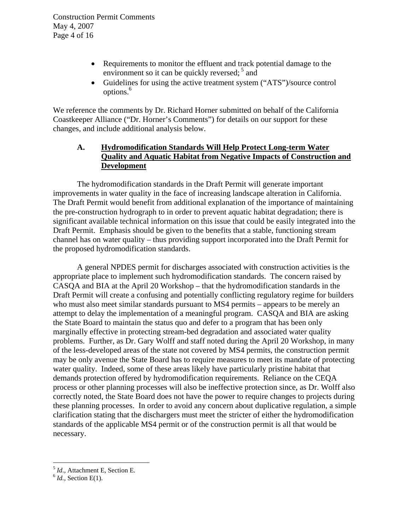- Requirements to monitor the effluent and track potential damage to the environment so it can be quickly reversed;  $5$  and
- Guidelines for using the active treatment system ("ATS")/source control options.<sup>6</sup>

We reference the comments by Dr. Richard Horner submitted on behalf of the California Coastkeeper Alliance ("Dr. Horner's Comments") for details on our support for these changes, and include additional analysis below.

# **A. Hydromodification Standards Will Help Protect Long-term Water Quality and Aquatic Habitat from Negative Impacts of Construction and Development**

 The hydromodification standards in the Draft Permit will generate important improvements in water quality in the face of increasing landscape alteration in California. The Draft Permit would benefit from additional explanation of the importance of maintaining the pre-construction hydrograph to in order to prevent aquatic habitat degradation; there is significant available technical information on this issue that could be easily integrated into the Draft Permit. Emphasis should be given to the benefits that a stable, functioning stream channel has on water quality – thus providing support incorporated into the Draft Permit for the proposed hydromodification standards.

A general NPDES permit for discharges associated with construction activities is the appropriate place to implement such hydromodification standards. The concern raised by CASQA and BIA at the April 20 Workshop – that the hydromodification standards in the Draft Permit will create a confusing and potentially conflicting regulatory regime for builders who must also meet similar standards pursuant to MS4 permits – appears to be merely an attempt to delay the implementation of a meaningful program. CASQA and BIA are asking the State Board to maintain the status quo and defer to a program that has been only marginally effective in protecting stream-bed degradation and associated water quality problems. Further, as Dr. Gary Wolff and staff noted during the April 20 Workshop, in many of the less-developed areas of the state not covered by MS4 permits, the construction permit may be only avenue the State Board has to require measures to meet its mandate of protecting water quality. Indeed, some of these areas likely have particularly pristine habitat that demands protection offered by hydromodification requirements. Reliance on the CEQA process or other planning processes will also be ineffective protection since, as Dr. Wolff also correctly noted, the State Board does not have the power to require changes to projects during these planning processes. In order to avoid any concern about duplicative regulation, a simple clarification stating that the dischargers must meet the stricter of either the hydromodification standards of the applicable MS4 permit or of the construction permit is all that would be necessary.

<sup>5</sup> *Id*., Attachment E, Section E. 6 *Id.*, Section E(1).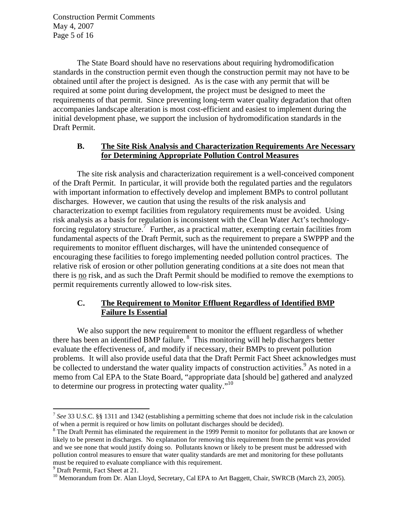Construction Permit Comments May 4, 2007 Page 5 of 16

The State Board should have no reservations about requiring hydromodification standards in the construction permit even though the construction permit may not have to be obtained until after the project is designed. As is the case with any permit that will be required at some point during development, the project must be designed to meet the requirements of that permit. Since preventing long-term water quality degradation that often accompanies landscape alteration is most cost-efficient and easiest to implement during the initial development phase, we support the inclusion of hydromodification standards in the Draft Permit.

#### **B. The Site Risk Analysis and Characterization Requirements Are Necessary for Determining Appropriate Pollution Control Measures**

The site risk analysis and characterization requirement is a well-conceived component of the Draft Permit. In particular, it will provide both the regulated parties and the regulators with important information to effectively develop and implement BMPs to control pollutant discharges. However, we caution that using the results of the risk analysis and characterization to exempt facilities from regulatory requirements must be avoided. Using risk analysis as a basis for regulation is inconsistent with the Clean Water Act's technologyforcing regulatory structure.<sup>7</sup> Further, as a practical matter, exempting certain facilities from fundamental aspects of the Draft Permit, such as the requirement to prepare a SWPPP and the requirements to monitor effluent discharges, will have the unintended consequence of encouraging these facilities to forego implementing needed pollution control practices. The relative risk of erosion or other pollution generating conditions at a site does not mean that there is no risk, and as such the Draft Permit should be modified to remove the exemptions to permit requirements currently allowed to low-risk sites.

# **C. The Requirement to Monitor Effluent Regardless of Identified BMP Failure Is Essential**

We also support the new requirement to monitor the effluent regardless of whether there has been an identified BMP failure. 8 This monitoring will help dischargers better evaluate the effectiveness of, and modify if necessary, their BMPs to prevent pollution problems. It will also provide useful data that the Draft Permit Fact Sheet acknowledges must be collected to understand the water quality impacts of construction activities.  $9$  As noted in a memo from Cal EPA to the State Board, "appropriate data [should be] gathered and analyzed to determine our progress in protecting water quality."<sup>10</sup>

<sup>7</sup> *See* 33 U.S.C. §§ 1311 and 1342 (establishing a permitting scheme that does not include risk in the calculation of when a permit is required or how limits on pollutant discharges should be decided).

 $8$  The Draft Permit has eliminated the requirement in the 1999 Permit to monitor for pollutants that are known or likely to be present in discharges. No explanation for removing this requirement from the permit was provided and we see none that would justify doing so. Pollutants known or likely to be present must be addressed with pollution control measures to ensure that water quality standards are met and monitoring for these pollutants must be required to evaluate compliance with this requirement.

<sup>&</sup>lt;sup>9</sup> Draft Permit, Fact Sheet at 21.

<sup>&</sup>lt;sup>10</sup> Memorandum from Dr. Alan Lloyd, Secretary, Cal EPA to Art Baggett, Chair, SWRCB (March 23, 2005).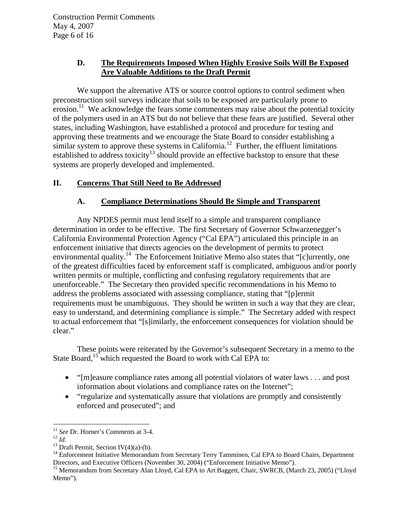## **D. The Requirements Imposed When Highly Erosive Soils Will Be Exposed Are Valuable Additions to the Draft Permit**

We support the alternative ATS or source control options to control sediment when preconstruction soil surveys indicate that soils to be exposed are particularly prone to  $\epsilon$  erosion.<sup>11</sup> We acknowledge the fears some commenters may raise about the potential toxicity of the polymers used in an ATS but do not believe that these fears are justified. Several other states, including Washington, have established a protocol and procedure for testing and approving these treatments and we encourage the State Board to consider establishing a similar system to approve these systems in California.<sup>12</sup> Further, the effluent limitations established to address toxicity<sup>13</sup> should provide an effective backstop to ensure that these systems are properly developed and implemented.

## **II. Concerns That Still Need to Be Addressed**

## **A. Compliance Determinations Should Be Simple and Transparent**

Any NPDES permit must lend itself to a simple and transparent compliance determination in order to be effective. The first Secretary of Governor Schwarzenegger's California Environmental Protection Agency ("Cal EPA") articulated this principle in an enforcement initiative that directs agencies on the development of permits to protect environmental quality.<sup>14</sup> The Enforcement Initiative Memo also states that " $[c]$ urrently, one of the greatest difficulties faced by enforcement staff is complicated, ambiguous and/or poorly written permits or multiple, conflicting and confusing regulatory requirements that are unenforceable." The Secretary then provided specific recommendations in his Memo to address the problems associated with assessing compliance, stating that "[p]ermit requirements must be unambiguous. They should be written in such a way that they are clear, easy to understand, and determining compliance is simple." The Secretary added with respect to actual enforcement that "[s]imilarly, the enforcement consequences for violation should be clear."

These points were reiterated by the Governor's subsequent Secretary in a memo to the State Board,<sup>15</sup> which requested the Board to work with Cal EPA to:

- "[m]easure compliance rates among all potential violators of water laws . . . and post information about violations and compliance rates on the Internet";
- "regularize and systematically assure that violations are promptly and consistently enforced and prosecuted"; and

<sup>&</sup>lt;sup>11</sup> See Dr. Horner's Comments at 3-4.

<sup>&</sup>lt;sup>12</sup> *Id.* <br><sup>13</sup> Draft Permit, Section IV(4)(a)-(b).

<sup>&</sup>lt;sup>14</sup> Enforcement Initiative Memorandum from Secretary Terry Tamminen, Cal EPA to Board Chairs, Department Directors, and Executive Officers (November 30, 2004) ("Enforcement Initiative Memo").

<sup>&</sup>lt;sup>15</sup> Memorandum from Secretary Alan Lloyd, Cal EPA to Art Baggett, Chair, SWRCB, (March 23, 2005) ("Lloyd Memo").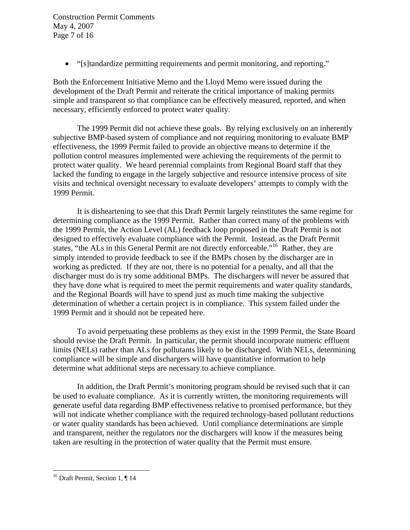Construction Permit Comments May 4, 2007 Page 7 of 16

• "[s]tandardize permitting requirements and permit monitoring, and reporting."

Both the Enforcement Initiative Memo and the Lloyd Memo were issued during the development of the Draft Permit and reiterate the critical importance of making permits simple and transparent so that compliance can be effectively measured, reported, and when necessary, efficiently enforced to protect water quality.

 The 1999 Permit did not achieve these goals. By relying exclusively on an inherently subjective BMP-based system of compliance and not requiring monitoring to evaluate BMP effectiveness, the 1999 Permit failed to provide an objective means to determine if the pollution control measures implemented were achieving the requirements of the permit to protect water quality. We heard perennial complaints from Regional Board staff that they lacked the funding to engage in the largely subjective and resource intensive process of site visits and technical oversight necessary to evaluate developers' attempts to comply with the 1999 Permit.

It is disheartening to see that this Draft Permit largely reinstitutes the same regime for determining compliance as the 1999 Permit. Rather than correct many of the problems with the 1999 Permit, the Action Level (AL) feedback loop proposed in the Draft Permit is not designed to effectively evaluate compliance with the Permit. Instead, as the Draft Permit states, "the ALs in this General Permit are not directly enforceable."<sup>16</sup> Rather, they are simply intended to provide feedback to see if the BMPs chosen by the discharger are in working as predicted. If they are not, there is no potential for a penalty, and all that the discharger must do is try some additional BMPs. The dischargers will never be assured that they have done what is required to meet the permit requirements and water quality standards, and the Regional Boards will have to spend just as much time making the subjective determination of whether a certain project is in compliance. This system failed under the 1999 Permit and it should not be repeated here.

To avoid perpetuating these problems as they exist in the 1999 Permit, the State Board should revise the Draft Permit. In particular, the permit should incorporate numeric effluent limits (NELs) rather than ALs for pollutants likely to be discharged. With NELs, determining compliance will be simple and dischargers will have quantitative information to help determine what additional steps are necessary to achieve compliance.

In addition, the Draft Permit's monitoring program should be revised such that it can be used to evaluate compliance. As it is currently written, the monitoring requirements will generate useful data regarding BMP effectiveness relative to promised performance, but they will not indicate whether compliance with the required technology-based pollutant reductions or water quality standards has been achieved. Until compliance determinations are simple and transparent, neither the regulators nor the dischargers will know if the measures being taken are resulting in the protection of water quality that the Permit must ensure.

<sup>&</sup>lt;sup>16</sup> Draft Permit, Section 1, ¶ 14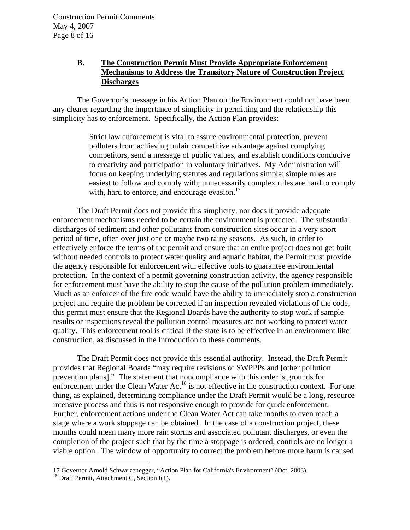## **B. The Construction Permit Must Provide Appropriate Enforcement Mechanisms to Address the Transitory Nature of Construction Project Discharges**

The Governor's message in his Action Plan on the Environment could not have been any clearer regarding the importance of simplicity in permitting and the relationship this simplicity has to enforcement. Specifically, the Action Plan provides:

> Strict law enforcement is vital to assure environmental protection, prevent polluters from achieving unfair competitive advantage against complying competitors, send a message of public values, and establish conditions conducive to creativity and participation in voluntary initiatives. My Administration will focus on keeping underlying statutes and regulations simple; simple rules are easiest to follow and comply with; unnecessarily complex rules are hard to comply with, hard to enforce, and encourage evasion. $^{17}$

The Draft Permit does not provide this simplicity, nor does it provide adequate enforcement mechanisms needed to be certain the environment is protected. The substantial discharges of sediment and other pollutants from construction sites occur in a very short period of time, often over just one or maybe two rainy seasons. As such, in order to effectively enforce the terms of the permit and ensure that an entire project does not get built without needed controls to protect water quality and aquatic habitat, the Permit must provide the agency responsible for enforcement with effective tools to guarantee environmental protection. In the context of a permit governing construction activity, the agency responsible for enforcement must have the ability to stop the cause of the pollution problem immediately. Much as an enforcer of the fire code would have the ability to immediately stop a construction project and require the problem be corrected if an inspection revealed violations of the code, this permit must ensure that the Regional Boards have the authority to stop work if sample results or inspections reveal the pollution control measures are not working to protect water quality. This enforcement tool is critical if the state is to be effective in an environment like construction, as discussed in the Introduction to these comments.

The Draft Permit does not provide this essential authority. Instead, the Draft Permit provides that Regional Boards "may require revisions of SWPPPs and [other pollution prevention plans]." The statement that noncompliance with this order is grounds for enforcement under the Clean Water  $Act^{18}$  is not effective in the construction context. For one thing, as explained, determining compliance under the Draft Permit would be a long, resource intensive process and thus is not responsive enough to provide for quick enforcement. Further, enforcement actions under the Clean Water Act can take months to even reach a stage where a work stoppage can be obtained. In the case of a construction project, these months could mean many more rain storms and associated pollutant discharges, or even the completion of the project such that by the time a stoppage is ordered, controls are no longer a viable option. The window of opportunity to correct the problem before more harm is caused

<sup>17</sup> Governor Arnold Schwarzenegger, "Action Plan for California's Environment" (Oct. 2003).

 $18$  Draft Permit, Attachment C, Section I(1).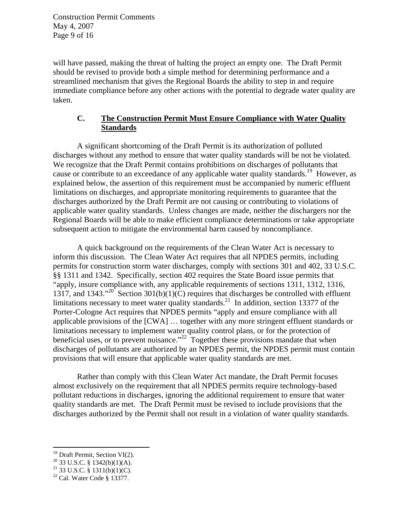Construction Permit Comments May 4, 2007 Page 9 of 16

will have passed, making the threat of halting the project an empty one. The Draft Permit should be revised to provide both a simple method for determining performance and a streamlined mechanism that gives the Regional Boards the ability to step in and require immediate compliance before any other actions with the potential to degrade water quality are taken.

## **C. The Construction Permit Must Ensure Compliance with Water Quality Standards**

 A significant shortcoming of the Draft Permit is its authorization of polluted discharges without any method to ensure that water quality standards will be not be violated. We recognize that the Draft Permit contains prohibitions on discharges of pollutants that cause or contribute to an exceedance of any applicable water quality standards.<sup>19</sup> However, as explained below, the assertion of this requirement must be accompanied by numeric effluent limitations on discharges, and appropriate monitoring requirements to guarantee that the discharges authorized by the Draft Permit are not causing or contributing to violations of applicable water quality standards. Unless changes are made, neither the dischargers nor the Regional Boards will be able to make efficient compliance determinations or take appropriate subsequent action to mitigate the environmental harm caused by noncompliance.

 A quick background on the requirements of the Clean Water Act is necessary to inform this discussion. The Clean Water Act requires that all NPDES permits, including permits for construction storm water discharges, comply with sections 301 and 402, 33 U.S.C. §§ 1311 and 1342. Specifically, section 402 requires the State Board issue permits that "apply, insure compliance with, any applicable requirements of sections 1311, 1312, 1316, 1317, and 1343."<sup>20</sup> Section 301(b)(1)(C) requires that discharges be controlled with effluent limitations necessary to meet water quality standards.<sup>21</sup> In addition, section 13377 of the Porter-Cologne Act requires that NPDES permits "apply and ensure compliance with all applicable provisions of the [CWA] … together with any more stringent effluent standards or limitations necessary to implement water quality control plans, or for the protection of beneficial uses, or to prevent nuisance."<sup>22</sup> Together these provisions mandate that when discharges of pollutants are authorized by an NPDES permit, the NPDES permit must contain provisions that will ensure that applicable water quality standards are met.

 Rather than comply with this Clean Water Act mandate, the Draft Permit focuses almost exclusively on the requirement that all NPDES permits require technology-based pollutant reductions in discharges, ignoring the additional requirement to ensure that water quality standards are met. The Draft Permit must be revised to include provisions that the discharges authorized by the Permit shall not result in a violation of water quality standards.

<sup>&</sup>lt;sup>19</sup> Draft Permit, Section VI(2).

 $^{20}$  33 U.S.C. § 1342(b)(1)(A).

 $^{21}$  33 U.S.C. § 1311(b)(1)(C).

<sup>22</sup> Cal. Water Code § 13377.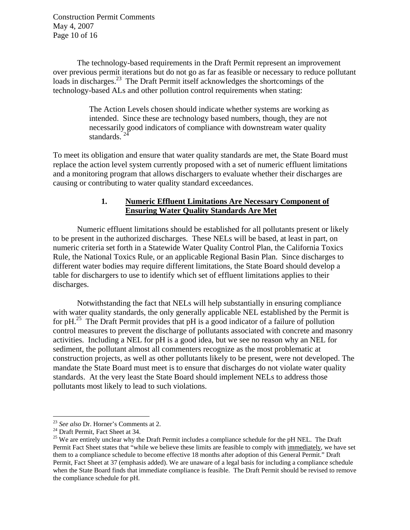Construction Permit Comments May 4, 2007 Page 10 of 16

The technology-based requirements in the Draft Permit represent an improvement over previous permit iterations but do not go as far as feasible or necessary to reduce pollutant loads in discharges.<sup>23</sup> The Draft Permit itself acknowledges the shortcomings of the technology-based ALs and other pollution control requirements when stating:

> The Action Levels chosen should indicate whether systems are working as intended. Since these are technology based numbers, though, they are not necessarily good indicators of compliance with downstream water quality standards.

To meet its obligation and ensure that water quality standards are met, the State Board must replace the action level system currently proposed with a set of numeric effluent limitations and a monitoring program that allows dischargers to evaluate whether their discharges are causing or contributing to water quality standard exceedances.

#### **1. Numeric Effluent Limitations Are Necessary Component of Ensuring Water Quality Standards Are Met**

Numeric effluent limitations should be established for all pollutants present or likely to be present in the authorized discharges. These NELs will be based, at least in part, on numeric criteria set forth in a Statewide Water Quality Control Plan, the California Toxics Rule, the National Toxics Rule, or an applicable Regional Basin Plan. Since discharges to different water bodies may require different limitations, the State Board should develop a table for dischargers to use to identify which set of effluent limitations applies to their discharges.

 Notwithstanding the fact that NELs will help substantially in ensuring compliance with water quality standards, the only generally applicable NEL established by the Permit is for  $pH<sup>25</sup>$  The Draft Permit provides that  $pH$  is a good indicator of a failure of pollution control measures to prevent the discharge of pollutants associated with concrete and masonry activities. Including a NEL for pH is a good idea, but we see no reason why an NEL for sediment, the pollutant almost all commenters recognize as the most problematic at construction projects, as well as other pollutants likely to be present, were not developed. The mandate the State Board must meet is to ensure that discharges do not violate water quality standards. At the very least the State Board should implement NELs to address those pollutants most likely to lead to such violations.

<sup>&</sup>lt;sup>23</sup> See also Dr. Horner's Comments at 2.

<sup>&</sup>lt;sup>24</sup> Draft Permit, Fact Sheet at 34.

<sup>&</sup>lt;sup>25</sup> We are entirely unclear why the Draft Permit includes a compliance schedule for the pH NEL. The Draft Permit Fact Sheet states that "while we believe these limits are feasible to comply with immediately, we have set them to a compliance schedule to become effective 18 months after adoption of this General Permit." Draft Permit, Fact Sheet at 37 (emphasis added). We are unaware of a legal basis for including a compliance schedule when the State Board finds that immediate compliance is feasible. The Draft Permit should be revised to remove the compliance schedule for pH.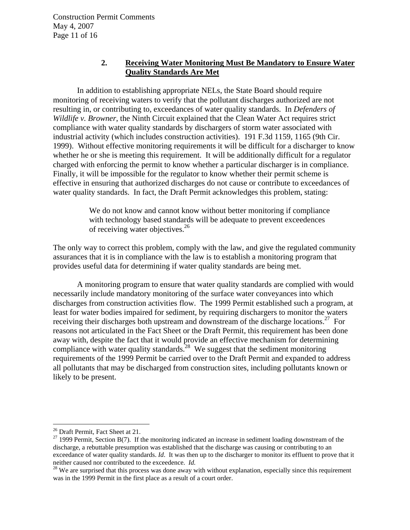Construction Permit Comments May 4, 2007 Page 11 of 16

#### **2. Receiving Water Monitoring Must Be Mandatory to Ensure Water Quality Standards Are Met**

In addition to establishing appropriate NELs, the State Board should require monitoring of receiving waters to verify that the pollutant discharges authorized are not resulting in, or contributing to, exceedances of water quality standards. In *Defenders of Wildlife v. Browner*, the Ninth Circuit explained that the Clean Water Act requires strict compliance with water quality standards by dischargers of storm water associated with industrial activity (which includes construction activities). 191 F.3d 1159, 1165 (9th Cir. 1999). Without effective monitoring requirements it will be difficult for a discharger to know whether he or she is meeting this requirement. It will be additionally difficult for a regulator charged with enforcing the permit to know whether a particular discharger is in compliance. Finally, it will be impossible for the regulator to know whether their permit scheme is effective in ensuring that authorized discharges do not cause or contribute to exceedances of water quality standards. In fact, the Draft Permit acknowledges this problem, stating:

> We do not know and cannot know without better monitoring if compliance with technology based standards will be adequate to prevent exceedences of receiving water objectives.<sup>26</sup>

The only way to correct this problem, comply with the law, and give the regulated community assurances that it is in compliance with the law is to establish a monitoring program that provides useful data for determining if water quality standards are being met.

A monitoring program to ensure that water quality standards are complied with would necessarily include mandatory monitoring of the surface water conveyances into which discharges from construction activities flow. The 1999 Permit established such a program, at least for water bodies impaired for sediment, by requiring dischargers to monitor the waters receiving their discharges both upstream and downstream of the discharge locations.<sup>27</sup> For reasons not articulated in the Fact Sheet or the Draft Permit, this requirement has been done away with, despite the fact that it would provide an effective mechanism for determining compliance with water quality standards.<sup>28</sup> We suggest that the sediment monitoring requirements of the 1999 Permit be carried over to the Draft Permit and expanded to address all pollutants that may be discharged from construction sites, including pollutants known or likely to be present.

<sup>&</sup>lt;sup>26</sup> Draft Permit, Fact Sheet at 21.

 $27$  1999 Permit, Section B(7). If the monitoring indicated an increase in sediment loading downstream of the discharge, a rebuttable presumption was established that the discharge was causing or contributing to an exceedance of water quality standards. *Id*. It was then up to the discharger to monitor its effluent to prove that it neither caused nor contributed to the exceedence. *Id*.<br><sup>28</sup> We are surprised that this process was done away with without explanation, especially since this requirement

was in the 1999 Permit in the first place as a result of a court order.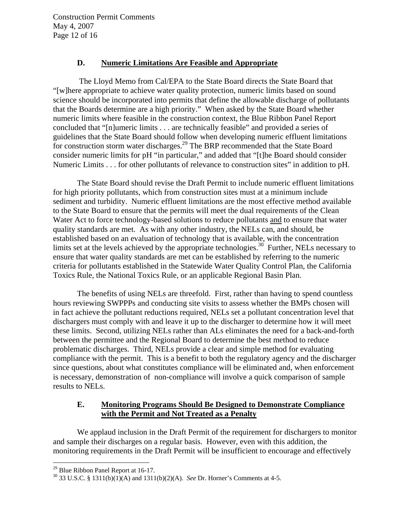Construction Permit Comments May 4, 2007 Page 12 of 16

#### **D. Numeric Limitations Are Feasible and Appropriate**

 The Lloyd Memo from Cal/EPA to the State Board directs the State Board that "[w]here appropriate to achieve water quality protection, numeric limits based on sound science should be incorporated into permits that define the allowable discharge of pollutants that the Boards determine are a high priority." When asked by the State Board whether numeric limits where feasible in the construction context, the Blue Ribbon Panel Report concluded that "[n]umeric limits . . . are technically feasible" and provided a series of guidelines that the State Board should follow when developing numeric effluent limitations for construction storm water discharges.<sup>29</sup> The BRP recommended that the State Board consider numeric limits for pH "in particular," and added that "[t]he Board should consider Numeric Limits . . . for other pollutants of relevance to construction sites" in addition to pH.

The State Board should revise the Draft Permit to include numeric effluent limitations for high priority pollutants, which from construction sites must at a minimum include sediment and turbidity. Numeric effluent limitations are the most effective method available to the State Board to ensure that the permits will meet the dual requirements of the Clean Water Act to force technology-based solutions to reduce pollutants and to ensure that water quality standards are met. As with any other industry, the NELs can, and should, be established based on an evaluation of technology that is available, with the concentration limits set at the levels achieved by the appropriate technologies.<sup>30</sup> Further, NELs necessary to ensure that water quality standards are met can be established by referring to the numeric criteria for pollutants established in the Statewide Water Quality Control Plan, the California Toxics Rule, the National Toxics Rule, or an applicable Regional Basin Plan.

The benefits of using NELs are threefold. First, rather than having to spend countless hours reviewing SWPPPs and conducting site visits to assess whether the BMPs chosen will in fact achieve the pollutant reductions required, NELs set a pollutant concentration level that dischargers must comply with and leave it up to the discharger to determine how it will meet these limits. Second, utilizing NELs rather than ALs eliminates the need for a back-and-forth between the permittee and the Regional Board to determine the best method to reduce problematic discharges. Third, NELs provide a clear and simple method for evaluating compliance with the permit. This is a benefit to both the regulatory agency and the discharger since questions, about what constitutes compliance will be eliminated and, when enforcement is necessary, demonstration of non-compliance will involve a quick comparison of sample results to NELs.

## **E. Monitoring Programs Should Be Designed to Demonstrate Compliance with the Permit and Not Treated as a Penalty**

 We applaud inclusion in the Draft Permit of the requirement for dischargers to monitor and sample their discharges on a regular basis. However, even with this addition, the monitoring requirements in the Draft Permit will be insufficient to encourage and effectively

<sup>&</sup>lt;sup>29</sup> Blue Ribbon Panel Report at 16-17.

<sup>30 33</sup> U.S.C. § 1311(b)(1)(A) and 1311(b)(2)(A). *See* Dr. Horner's Comments at 4-5.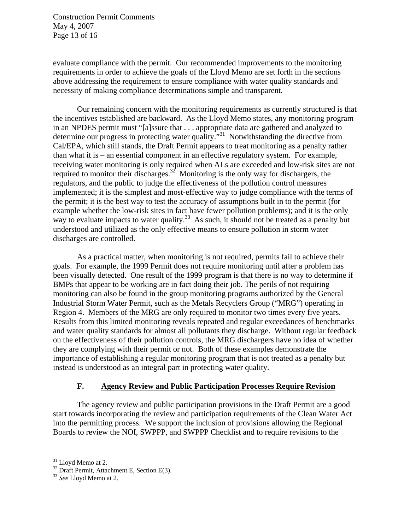Construction Permit Comments May 4, 2007 Page 13 of 16

evaluate compliance with the permit. Our recommended improvements to the monitoring requirements in order to achieve the goals of the Lloyd Memo are set forth in the sections above addressing the requirement to ensure compliance with water quality standards and necessity of making compliance determinations simple and transparent.

Our remaining concern with the monitoring requirements as currently structured is that the incentives established are backward. As the Lloyd Memo states, any monitoring program in an NPDES permit must "[a]ssure that . . . appropriate data are gathered and analyzed to determine our progress in protecting water quality."<sup>31</sup> Notwithstanding the directive from Cal/EPA, which still stands, the Draft Permit appears to treat monitoring as a penalty rather than what it is – an essential component in an effective regulatory system. For example, receiving water monitoring is only required when ALs are exceeded and low-risk sites are not required to monitor their discharges.<sup>32</sup> Monitoring is the only way for dischargers, the regulators, and the public to judge the effectiveness of the pollution control measures implemented; it is the simplest and most-effective way to judge compliance with the terms of the permit; it is the best way to test the accuracy of assumptions built in to the permit (for example whether the low-risk sites in fact have fewer pollution problems); and it is the only way to evaluate impacts to water quality.<sup>33</sup> As such, it should not be treated as a penalty but understood and utilized as the only effective means to ensure pollution in storm water discharges are controlled.

As a practical matter, when monitoring is not required, permits fail to achieve their goals. For example, the 1999 Permit does not require monitoring until after a problem has been visually detected. One result of the 1999 program is that there is no way to determine if BMPs that appear to be working are in fact doing their job. The perils of not requiring monitoring can also be found in the group monitoring programs authorized by the General Industrial Storm Water Permit, such as the Metals Recyclers Group ("MRG") operating in Region 4. Members of the MRG are only required to monitor two times every five years. Results from this limited monitoring reveals repeated and regular exceedances of benchmarks and water quality standards for almost all pollutants they discharge. Without regular feedback on the effectiveness of their pollution controls, the MRG dischargers have no idea of whether they are complying with their permit or not. Both of these examples demonstrate the importance of establishing a regular monitoring program that is not treated as a penalty but instead is understood as an integral part in protecting water quality.

#### **F. Agency Review and Public Participation Processes Require Revision**

 The agency review and public participation provisions in the Draft Permit are a good start towards incorporating the review and participation requirements of the Clean Water Act into the permitting process. We support the inclusion of provisions allowing the Regional Boards to review the NOI, SWPPP, and SWPPP Checklist and to require revisions to the

<sup>&</sup>lt;sup>31</sup> Lloyd Memo at 2.

 $32$  Draft Permit, Attachment E, Section E(3).

<sup>33</sup> *See* Lloyd Memo at 2.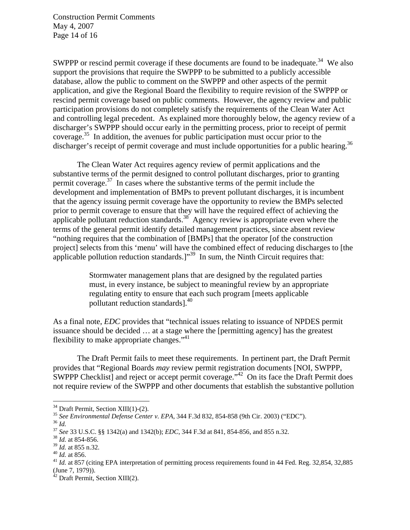Construction Permit Comments May 4, 2007 Page 14 of 16

SWPPP or rescind permit coverage if these documents are found to be inadequate.<sup>34</sup> We also support the provisions that require the SWPPP to be submitted to a publicly accessible database, allow the public to comment on the SWPPP and other aspects of the permit application, and give the Regional Board the flexibility to require revision of the SWPPP or rescind permit coverage based on public comments. However, the agency review and public participation provisions do not completely satisfy the requirements of the Clean Water Act and controlling legal precedent. As explained more thoroughly below, the agency review of a discharger's SWPPP should occur early in the permitting process, prior to receipt of permit coverage.35 In addition, the avenues for public participation must occur prior to the discharger's receipt of permit coverage and must include opportunities for a public hearing.<sup>36</sup>

 The Clean Water Act requires agency review of permit applications and the substantive terms of the permit designed to control pollutant discharges, prior to granting permit coverage. $37$  In cases where the substantive terms of the permit include the development and implementation of BMPs to prevent pollutant discharges, it is incumbent that the agency issuing permit coverage have the opportunity to review the BMPs selected prior to permit coverage to ensure that they will have the required effect of achieving the applicable pollutant reduction standards.<sup>38</sup> Agency review is appropriate even where the terms of the general permit identify detailed management practices, since absent review "nothing requires that the combination of [BMPs] that the operator [of the construction project] selects from this 'menu' will have the combined effect of reducing discharges to [the applicable pollution reduction standards.]"<sup>39</sup> In sum, the Ninth Circuit requires that:

> Stormwater management plans that are designed by the regulated parties must, in every instance, be subject to meaningful review by an appropriate regulating entity to ensure that each such program [meets applicable pollutant reduction standards].<sup>40</sup>

As a final note, *EDC* provides that "technical issues relating to issuance of NPDES permit issuance should be decided … at a stage where the [permitting agency] has the greatest flexibility to make appropriate changes."<sup>41</sup>

 The Draft Permit fails to meet these requirements. In pertinent part, the Draft Permit provides that "Regional Boards *may* review permit registration documents [NOI, SWPPP, SWPPP Checklist] and reject or accept permit coverage."<sup>42</sup> On its face the Draft Permit does not require review of the SWPPP and other documents that establish the substantive pollution

<sup>&</sup>lt;sup>34</sup> Draft Permit, Section XIII(1)-(2).<br><sup>35</sup> See Environmental Defense Center v. EPA, 344 F.3d 832, 854-858 (9th Cir. 2003) ("EDC").

<sup>&</sup>lt;sup>36</sup> *Id.*<br><sup>37</sup> *See* 33 U.S.C. §§ 1342(a) and 1342(b); *EDC*, 344 F.3d at 841, 854-856, and 855 n.32.<br><sup>38</sup> *Id.* at 854-856.<br><sup>39</sup> *Id.* at 855 n.32.

<sup>&</sup>lt;sup>40</sup> *Id.* at 856. *Id.* at 856. 41 *Id.* at 857 (citing EPA interpretation of permitting process requirements found in 44 Fed. Reg. 32,854, 32,885 (June 7, 1979)).

 $42$  Draft Permit, Section XIII(2).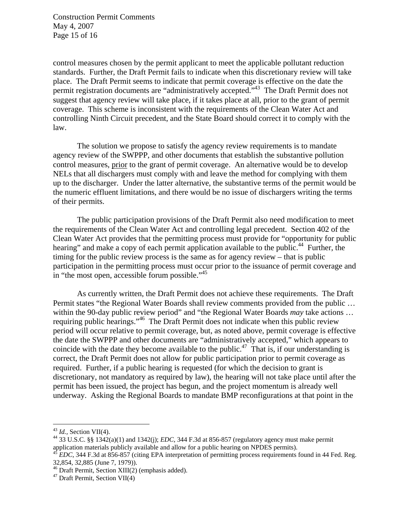Construction Permit Comments May 4, 2007 Page 15 of 16

control measures chosen by the permit applicant to meet the applicable pollutant reduction standards. Further, the Draft Permit fails to indicate when this discretionary review will take place. The Draft Permit seems to indicate that permit coverage is effective on the date the permit registration documents are "administratively accepted."43 The Draft Permit does not suggest that agency review will take place, if it takes place at all, prior to the grant of permit coverage. This scheme is inconsistent with the requirements of the Clean Water Act and controlling Ninth Circuit precedent, and the State Board should correct it to comply with the law.

The solution we propose to satisfy the agency review requirements is to mandate agency review of the SWPPP, and other documents that establish the substantive pollution control measures, prior to the grant of permit coverage. An alternative would be to develop NELs that all dischargers must comply with and leave the method for complying with them up to the discharger. Under the latter alternative, the substantive terms of the permit would be the numeric effluent limitations, and there would be no issue of dischargers writing the terms of their permits.

The public participation provisions of the Draft Permit also need modification to meet the requirements of the Clean Water Act and controlling legal precedent. Section 402 of the Clean Water Act provides that the permitting process must provide for "opportunity for public hearing" and make a copy of each permit application available to the public.<sup>44</sup> Further, the timing for the public review process is the same as for agency review – that is public participation in the permitting process must occur prior to the issuance of permit coverage and in "the most open, accessible forum possible."<sup>45</sup>

As currently written, the Draft Permit does not achieve these requirements. The Draft Permit states "the Regional Water Boards shall review comments provided from the public … within the 90-day public review period" and "the Regional Water Boards *may* take actions … requiring public hearings."46 The Draft Permit does not indicate when this public review period will occur relative to permit coverage, but, as noted above, permit coverage is effective the date the SWPPP and other documents are "administratively accepted," which appears to coincide with the date they become available to the public.<sup>47</sup> That is, if our understanding is correct, the Draft Permit does not allow for public participation prior to permit coverage as required. Further, if a public hearing is requested (for which the decision to grant is discretionary, not mandatory as required by law), the hearing will not take place until after the permit has been issued, the project has begun, and the project momentum is already well underway. Asking the Regional Boards to mandate BMP reconfigurations at that point in the

 $43$  *Id.*, Section VII(4).

<sup>&</sup>lt;sup>44</sup> 33 U.S.C. §§ 1342(a)(1) and 1342(j); *EDC*, 344 F.3d at 856-857 (regulatory agency must make permit application materials publicly available and allow for a public hearing on NPDES permits). 45 *EDC*, 344 F.3d at 856-857 (citing EPA interpretation of permitting process requirements found in 44 Fed. Reg.

<sup>32,854, 32,885 (</sup>June 7, 1979)).

<sup>46</sup> Draft Permit, Section XIII(2) (emphasis added).

<sup>47</sup> Draft Permit, Section VII(4)